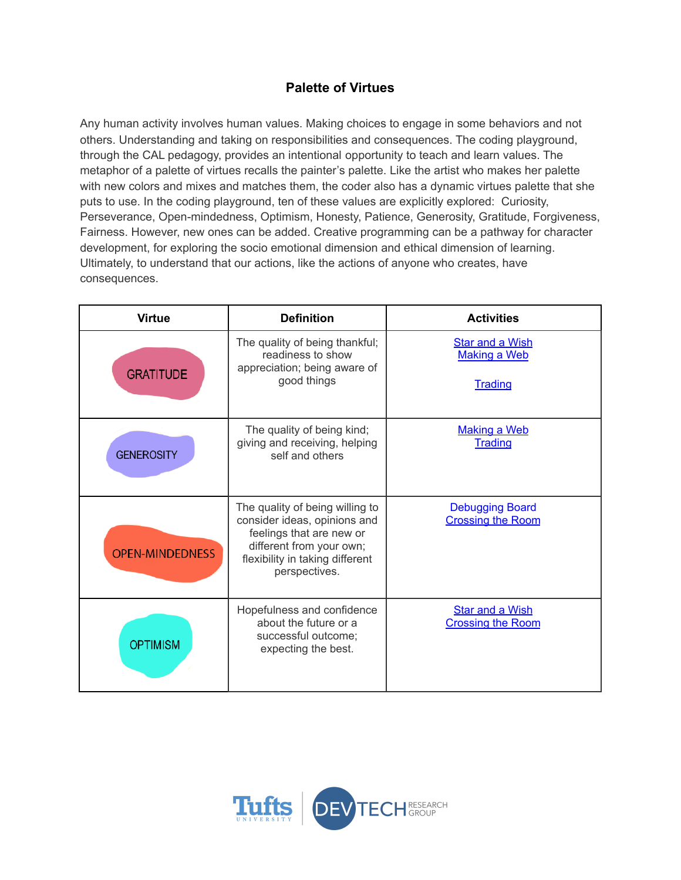## **Palette of Virtues**

Any human activity involves human values. Making choices to engage in some behaviors and not others. Understanding and taking on responsibilities and consequences. The coding playground, through the CAL pedagogy, provides an intentional opportunity to teach and learn values. The metaphor of a palette of virtues recalls the painter's palette. Like the artist who makes her palette with new colors and mixes and matches them, the coder also has a dynamic virtues palette that she puts to use. In the coding playground, ten of these values are explicitly explored: Curiosity, Perseverance, Open-mindedness, Optimism, Honesty, Patience, Generosity, Gratitude, Forgiveness, Fairness. However, new ones can be added. Creative programming can be a pathway for character development, for exploring the socio emotional dimension and ethical dimension of learning. Ultimately, to understand that our actions, like the actions of anyone who creates, have consequences.

| <b>Virtue</b>          | <b>Definition</b>                                                                                                                                                           | <b>Activities</b>                                               |
|------------------------|-----------------------------------------------------------------------------------------------------------------------------------------------------------------------------|-----------------------------------------------------------------|
| <b>GRATITUDE</b>       | The quality of being thankful;<br>readiness to show<br>appreciation; being aware of<br>good things                                                                          | <b>Star and a Wish</b><br><b>Making a Web</b><br><b>Trading</b> |
| <b>GENEROSITY</b>      | The quality of being kind;<br>giving and receiving, helping<br>self and others                                                                                              | <b>Making a Web</b><br>Trading                                  |
| <b>OPEN-MINDEDNESS</b> | The quality of being willing to<br>consider ideas, opinions and<br>feelings that are new or<br>different from your own;<br>flexibility in taking different<br>perspectives. | <b>Debugging Board</b><br><b>Crossing the Room</b>              |
| <b>OPTIMISM</b>        | Hopefulness and confidence<br>about the future or a<br>successful outcome;<br>expecting the best.                                                                           | <b>Star and a Wish</b><br><b>Crossing the Room</b>              |